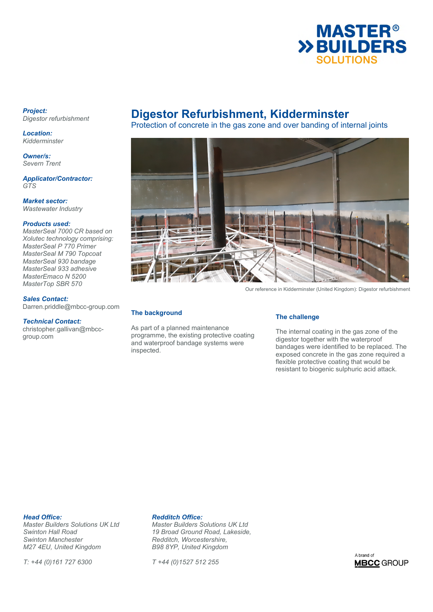

### *Project: Digestor refurbishment*

*Location: Kidderminster* 

*Owner/s: Severn Trent* 

*Applicator/Contractor: GTS* 

*Market sector: Wastewater Industry* 

## *Products used:*

*MasterSeal 7000 CR based on Xolutec technology comprising: MasterSeal P 770 Primer MasterSeal M 790 Topcoat MasterSeal 930 bandage MasterSeal 933 adhesive MasterEmaco N 5200 MasterTop SBR 570* 

## *Sales Contact:*

Darren.priddle@mbcc-group.com

## *Technical Contact:*

christopher.gallivan@mbccgroup.com

# **Digestor Refurbishment, Kidderminster**

Protection of concrete in the gas zone and over banding of internal joints



Our reference in Kidderminster (United Kingdom): Digestor refurbishment

## **The background**

As part of a planned maintenance programme, the existing protective coating and waterproof bandage systems were inspected.

## **The challenge**

The internal coating in the gas zone of the digestor together with the waterproof bandages were identified to be replaced. The exposed concrete in the gas zone required a flexible protective coating that would be resistant to biogenic sulphuric acid attack.

**Head Office: Redditch Office:**<br> *Master Builders Solutions UK Ltd* Master Builders S *Swinton Manchester Redditch, Worcestershire, M27 4EU, United Kingdom* 

*T: +44 (0)161 727 6300 T +44 (0)1527 512 255* 

*Master Builders Solutions UK Ltd Master Builders Solutions UK Ltd Swinton Hall Road 19 Broad Ground Road, Lakeside,* 

A brand of **MBCC** GROUP